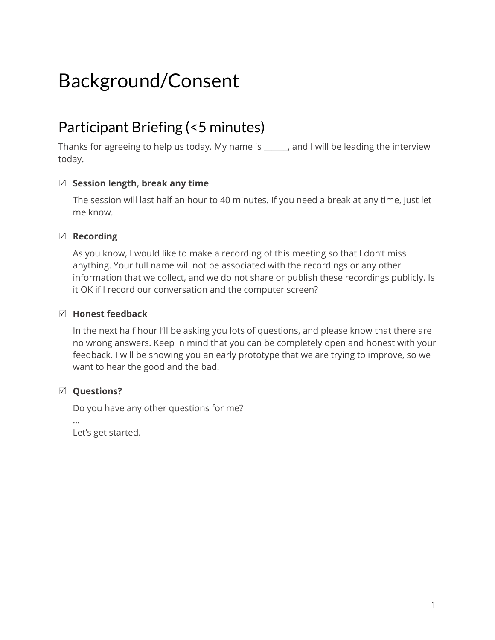# Background/Consent

# Participant Briefing (<5 minutes)

Thanks for agreeing to help us today. My name is \_\_\_\_\_\_, and I will be leading the interview today.

### R **Session length, break any time**

The session will last half an hour to 40 minutes. If you need a break at any time, just let me know.

#### $⊓$  Recording

As you know, I would like to make a recording of this meeting so that I don't miss anything. Your full name will not be associated with the recordings or any other information that we collect, and we do not share or publish these recordings publicly. Is it OK if I record our conversation and the computer screen?

#### R **Honest feedback**

In the next half hour I'll be asking you lots of questions, and please know that there are no wrong answers. Keep in mind that you can be completely open and honest with your feedback. I will be showing you an early prototype that we are trying to improve, so we want to hear the good and the bad.

### R **Questions?**

Do you have any other questions for me?

…

Let's get started.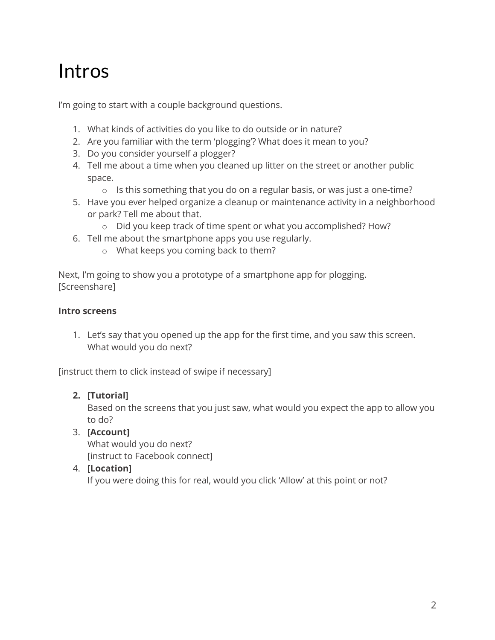# Intros

I'm going to start with a couple background questions.

- 1. What kinds of activities do you like to do outside or in nature?
- 2. Are you familiar with the term 'plogging'? What does it mean to you?
- 3. Do you consider yourself a plogger?
- 4. Tell me about a time when you cleaned up litter on the street or another public space.
	- o Is this something that you do on a regular basis, or was just a one-time?
- 5. Have you ever helped organize a cleanup or maintenance activity in a neighborhood or park? Tell me about that.
	- o Did you keep track of time spent or what you accomplished? How?
- 6. Tell me about the smartphone apps you use regularly.
	- o What keeps you coming back to them?

Next, I'm going to show you a prototype of a smartphone app for plogging. [Screenshare]

#### **Intro screens**

1. Let's say that you opened up the app for the first time, and you saw this screen. What would you do next?

[instruct them to click instead of swipe if necessary]

### **2. [Tutorial]**

Based on the screens that you just saw, what would you expect the app to allow you to do?

### 3. **[Account]**

What would you do next? [instruct to Facebook connect]

### 4. **[Location]**

If you were doing this for real, would you click 'Allow' at this point or not?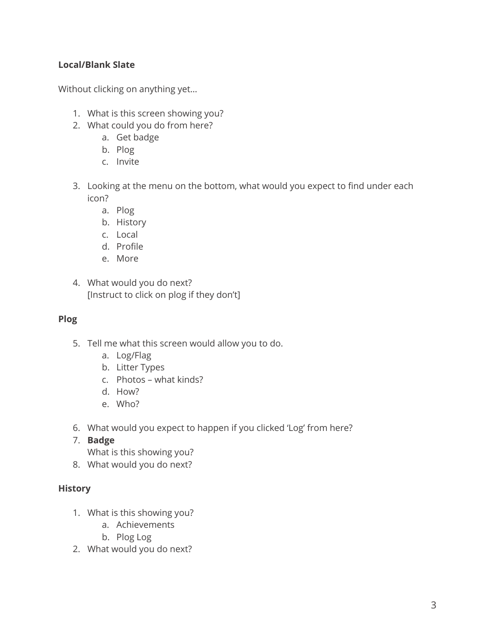# **Local/Blank Slate**

Without clicking on anything yet…

- 1. What is this screen showing you?
- 2. What could you do from here?
	- a. Get badge
	- b. Plog
	- c. Invite
- 3. Looking at the menu on the bottom, what would you expect to find under each icon?
	- a. Plog
	- b. History
	- c. Local
	- d. Profile
	- e. More
- 4. What would you do next? [Instruct to click on plog if they don't]

#### **Plog**

- 5. Tell me what this screen would allow you to do.
	- a. Log/Flag
	- b. Litter Types
	- c. Photos what kinds?
	- d. How?
	- e. Who?
- 6. What would you expect to happen if you clicked 'Log' from here?
- 7. **Badge**
	- What is this showing you?
- 8. What would you do next?

### **History**

- 1. What is this showing you?
	- a. Achievements
	- b. Plog Log
- 2. What would you do next?